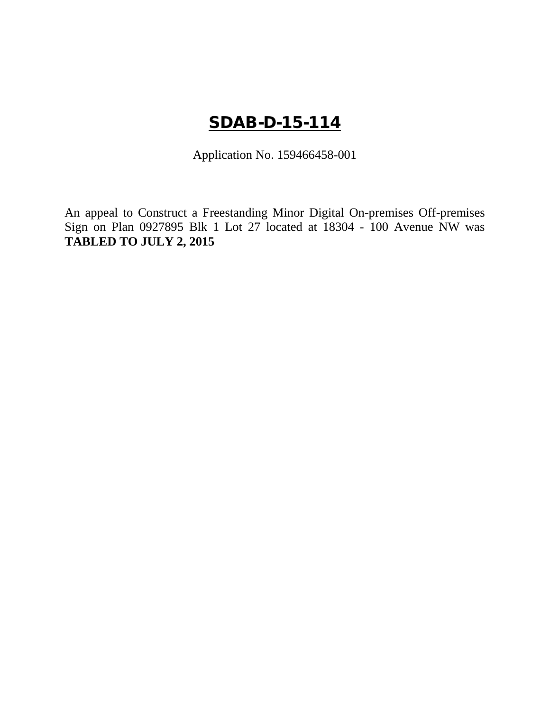# SDAB-D-15-114

Application No. 159466458-001

An appeal to Construct a Freestanding Minor Digital On-premises Off-premises Sign on Plan 0927895 Blk 1 Lot 27 located at 18304 - 100 Avenue NW was **TABLED TO JULY 2, 2015**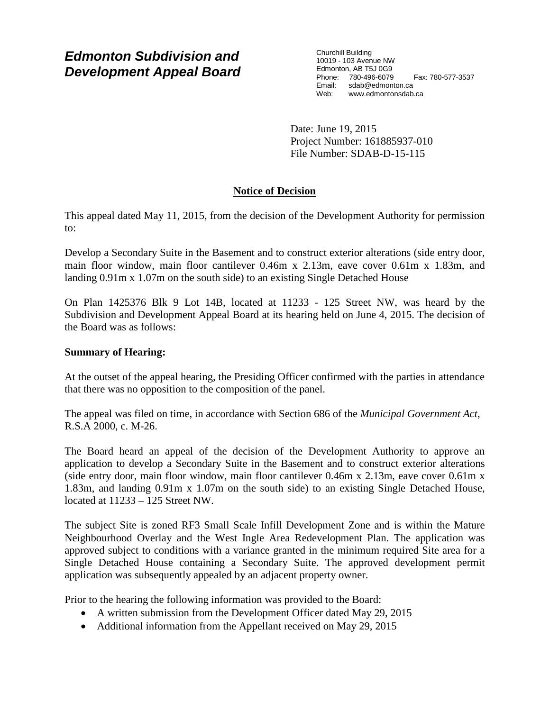### *Edmonton Subdivision and Development Appeal Board*

Churchill Building 10019 - 103 Avenue NW Edmonton, AB T5J 0G9 Phone: 780-496-6079 Fax: 780-577-3537 Email: sdab@edmonton.ca<br>Web: www.edmontonsdab www.edmontonsdab.ca

Date: June 19, 2015 Project Number: 161885937-010 File Number: SDAB-D-15-115

### **Notice of Decision**

This appeal dated May 11, 2015, from the decision of the Development Authority for permission to:

Develop a Secondary Suite in the Basement and to construct exterior alterations (side entry door, main floor window, main floor cantilever 0.46m x 2.13m, eave cover 0.61m x 1.83m, and landing 0.91m x 1.07m on the south side) to an existing Single Detached House

On Plan 1425376 Blk 9 Lot 14B, located at 11233 - 125 Street NW, was heard by the Subdivision and Development Appeal Board at its hearing held on June 4, 2015. The decision of the Board was as follows:

#### **Summary of Hearing:**

At the outset of the appeal hearing, the Presiding Officer confirmed with the parties in attendance that there was no opposition to the composition of the panel.

The appeal was filed on time, in accordance with Section 686 of the *Municipal Government Act*, R.S.A 2000, c. M-26.

The Board heard an appeal of the decision of the Development Authority to approve an application to develop a Secondary Suite in the Basement and to construct exterior alterations (side entry door, main floor window, main floor cantilever 0.46m x 2.13m, eave cover 0.61m x 1.83m, and landing 0.91m x 1.07m on the south side) to an existing Single Detached House, located at 11233 – 125 Street NW.

The subject Site is zoned RF3 Small Scale Infill Development Zone and is within the Mature Neighbourhood Overlay and the West Ingle Area Redevelopment Plan. The application was approved subject to conditions with a variance granted in the minimum required Site area for a Single Detached House containing a Secondary Suite. The approved development permit application was subsequently appealed by an adjacent property owner.

Prior to the hearing the following information was provided to the Board:

- A written submission from the Development Officer dated May 29, 2015
- Additional information from the Appellant received on May 29, 2015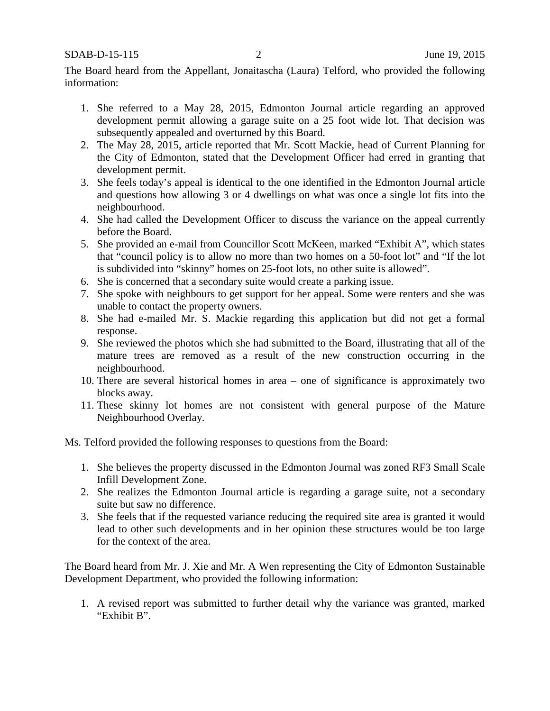SDAB-D-15-115 2 June 19, 2015

The Board heard from the Appellant, Jonaitascha (Laura) Telford, who provided the following information:

- 1. She referred to a May 28, 2015, Edmonton Journal article regarding an approved development permit allowing a garage suite on a 25 foot wide lot. That decision was subsequently appealed and overturned by this Board.
- 2. The May 28, 2015, article reported that Mr. Scott Mackie, head of Current Planning for the City of Edmonton, stated that the Development Officer had erred in granting that development permit.
- 3. She feels today's appeal is identical to the one identified in the Edmonton Journal article and questions how allowing 3 or 4 dwellings on what was once a single lot fits into the neighbourhood.
- 4. She had called the Development Officer to discuss the variance on the appeal currently before the Board.
- 5. She provided an e-mail from Councillor Scott McKeen, marked "Exhibit A", which states that "council policy is to allow no more than two homes on a 50-foot lot" and "If the lot is subdivided into "skinny" homes on 25-foot lots, no other suite is allowed".
- 6. She is concerned that a secondary suite would create a parking issue.
- 7. She spoke with neighbours to get support for her appeal. Some were renters and she was unable to contact the property owners.
- 8. She had e-mailed Mr. S. Mackie regarding this application but did not get a formal response.
- 9. She reviewed the photos which she had submitted to the Board, illustrating that all of the mature trees are removed as a result of the new construction occurring in the neighbourhood.
- 10. There are several historical homes in area one of significance is approximately two blocks away.
- 11. These skinny lot homes are not consistent with general purpose of the Mature Neighbourhood Overlay.

Ms. Telford provided the following responses to questions from the Board:

- 1. She believes the property discussed in the Edmonton Journal was zoned RF3 Small Scale Infill Development Zone.
- 2. She realizes the Edmonton Journal article is regarding a garage suite, not a secondary suite but saw no difference.
- 3. She feels that if the requested variance reducing the required site area is granted it would lead to other such developments and in her opinion these structures would be too large for the context of the area.

The Board heard from Mr. J. Xie and Mr. A Wen representing the City of Edmonton Sustainable Development Department, who provided the following information:

1. A revised report was submitted to further detail why the variance was granted, marked "Exhibit B".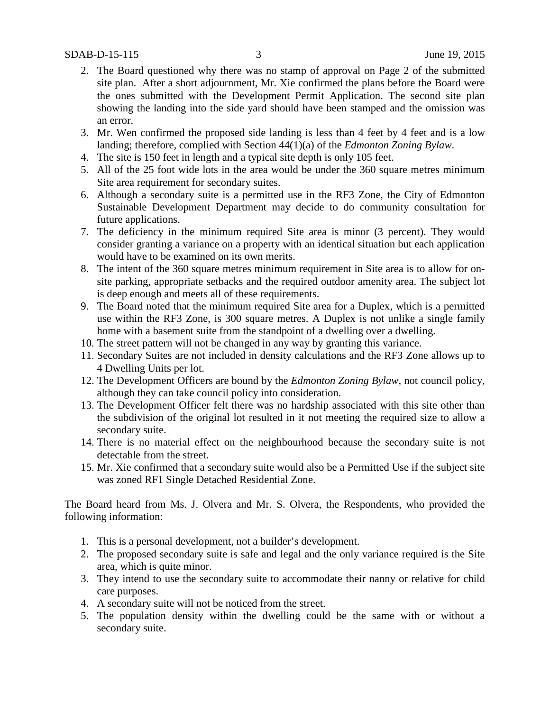- 2. The Board questioned why there was no stamp of approval on Page 2 of the submitted site plan. After a short adjournment, Mr. Xie confirmed the plans before the Board were the ones submitted with the Development Permit Application. The second site plan showing the landing into the side yard should have been stamped and the omission was an error.
- 3. Mr. Wen confirmed the proposed side landing is less than 4 feet by 4 feet and is a low landing; therefore, complied with Section 44(1)(a) of the *Edmonton Zoning Bylaw*.
- 4. The site is 150 feet in length and a typical site depth is only 105 feet.
- 5. All of the 25 foot wide lots in the area would be under the 360 square metres minimum Site area requirement for secondary suites.
- 6. Although a secondary suite is a permitted use in the RF3 Zone, the City of Edmonton Sustainable Development Department may decide to do community consultation for future applications.
- 7. The deficiency in the minimum required Site area is minor (3 percent). They would consider granting a variance on a property with an identical situation but each application would have to be examined on its own merits.
- 8. The intent of the 360 square metres minimum requirement in Site area is to allow for onsite parking, appropriate setbacks and the required outdoor amenity area. The subject lot is deep enough and meets all of these requirements.
- 9. The Board noted that the minimum required Site area for a Duplex, which is a permitted use within the RF3 Zone, is 300 square metres. A Duplex is not unlike a single family home with a basement suite from the standpoint of a dwelling over a dwelling.
- 10. The street pattern will not be changed in any way by granting this variance.
- 11. Secondary Suites are not included in density calculations and the RF3 Zone allows up to 4 Dwelling Units per lot.
- 12. The Development Officers are bound by the *Edmonton Zoning Bylaw*, not council policy, although they can take council policy into consideration.
- 13. The Development Officer felt there was no hardship associated with this site other than the subdivision of the original lot resulted in it not meeting the required size to allow a secondary suite.
- 14. There is no material effect on the neighbourhood because the secondary suite is not detectable from the street.
- 15. Mr. Xie confirmed that a secondary suite would also be a Permitted Use if the subject site was zoned RF1 Single Detached Residential Zone.

The Board heard from Ms. J. Olvera and Mr. S. Olvera, the Respondents, who provided the following information:

- 1. This is a personal development, not a builder's development.
- 2. The proposed secondary suite is safe and legal and the only variance required is the Site area, which is quite minor.
- 3. They intend to use the secondary suite to accommodate their nanny or relative for child care purposes.
- 4. A secondary suite will not be noticed from the street.
- 5. The population density within the dwelling could be the same with or without a secondary suite.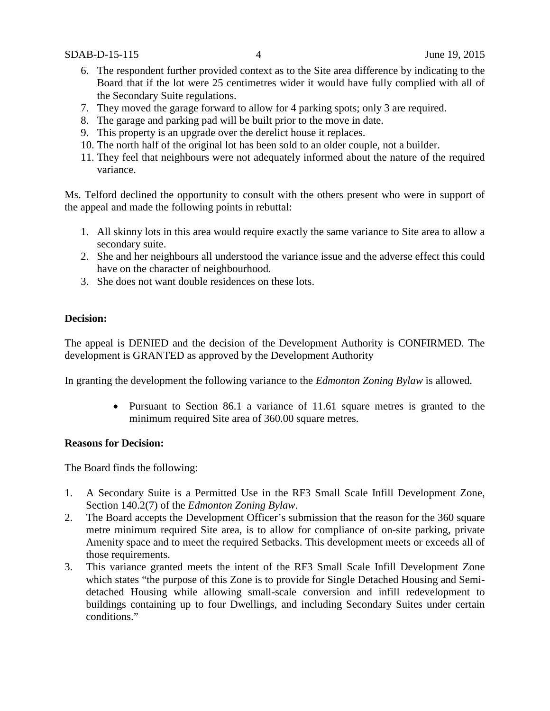- 6. The respondent further provided context as to the Site area difference by indicating to the Board that if the lot were 25 centimetres wider it would have fully complied with all of the Secondary Suite regulations.
- 7. They moved the garage forward to allow for 4 parking spots; only 3 are required.
- 8. The garage and parking pad will be built prior to the move in date.
- 9. This property is an upgrade over the derelict house it replaces.
- 10. The north half of the original lot has been sold to an older couple, not a builder.
- 11. They feel that neighbours were not adequately informed about the nature of the required variance.

Ms. Telford declined the opportunity to consult with the others present who were in support of the appeal and made the following points in rebuttal:

- 1. All skinny lots in this area would require exactly the same variance to Site area to allow a secondary suite.
- 2. She and her neighbours all understood the variance issue and the adverse effect this could have on the character of neighbourhood.
- 3. She does not want double residences on these lots.

#### **Decision:**

The appeal is DENIED and the decision of the Development Authority is CONFIRMED. The development is GRANTED as approved by the Development Authority

In granting the development the following variance to the *Edmonton Zoning Bylaw* is allowed.

• Pursuant to Section 86.1 a variance of 11.61 square metres is granted to the minimum required Site area of 360.00 square metres.

#### **Reasons for Decision:**

The Board finds the following:

- 1. A Secondary Suite is a Permitted Use in the RF3 Small Scale Infill Development Zone, Section 140.2(7) of the *Edmonton Zoning Bylaw*.
- 2. The Board accepts the Development Officer's submission that the reason for the 360 square metre minimum required Site area, is to allow for compliance of on-site parking, private Amenity space and to meet the required Setbacks. This development meets or exceeds all of those requirements.
- 3. This variance granted meets the intent of the RF3 Small Scale Infill Development Zone which states "the purpose of this Zone is to provide for Single Detached Housing and Semidetached Housing while allowing small-scale conversion and infill redevelopment to buildings containing up to four Dwellings, and including Secondary Suites under certain conditions."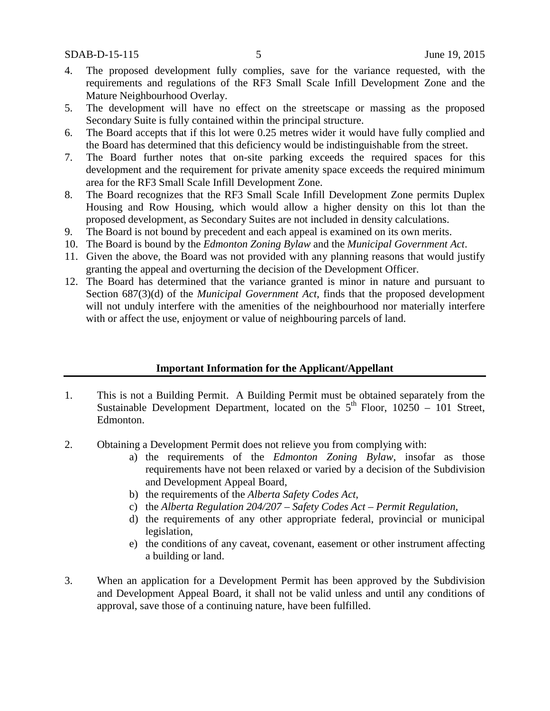- 4. The proposed development fully complies, save for the variance requested, with the requirements and regulations of the RF3 Small Scale Infill Development Zone and the Mature Neighbourhood Overlay.
- 5. The development will have no effect on the streetscape or massing as the proposed Secondary Suite is fully contained within the principal structure.
- 6. The Board accepts that if this lot were 0.25 metres wider it would have fully complied and the Board has determined that this deficiency would be indistinguishable from the street.
- 7. The Board further notes that on-site parking exceeds the required spaces for this development and the requirement for private amenity space exceeds the required minimum area for the RF3 Small Scale Infill Development Zone.
- 8. The Board recognizes that the RF3 Small Scale Infill Development Zone permits Duplex Housing and Row Housing, which would allow a higher density on this lot than the proposed development, as Secondary Suites are not included in density calculations.
- 9. The Board is not bound by precedent and each appeal is examined on its own merits.
- 10. The Board is bound by the *Edmonton Zoning Bylaw* and the *Municipal Government Act*.
- 11. Given the above, the Board was not provided with any planning reasons that would justify granting the appeal and overturning the decision of the Development Officer.
- 12. The Board has determined that the variance granted is minor in nature and pursuant to Section 687(3)(d) of the *Municipal Government Act*, finds that the proposed development will not unduly interfere with the amenities of the neighbourhood nor materially interfere with or affect the use, enjoyment or value of neighbouring parcels of land.

#### **Important Information for the Applicant/Appellant**

- 1. This is not a Building Permit. A Building Permit must be obtained separately from the Sustainable Development Department, located on the  $5<sup>th</sup>$  Floor, 10250 – 101 Street, Edmonton.
- 2. Obtaining a Development Permit does not relieve you from complying with:
	- a) the requirements of the *Edmonton Zoning Bylaw*, insofar as those requirements have not been relaxed or varied by a decision of the Subdivision and Development Appeal Board,
	- b) the requirements of the *Alberta Safety Codes Act*,
	- c) the *Alberta Regulation 204/207 – Safety Codes Act – Permit Regulation*,
	- d) the requirements of any other appropriate federal, provincial or municipal legislation,
	- e) the conditions of any caveat, covenant, easement or other instrument affecting a building or land.
- 3. When an application for a Development Permit has been approved by the Subdivision and Development Appeal Board, it shall not be valid unless and until any conditions of approval, save those of a continuing nature, have been fulfilled.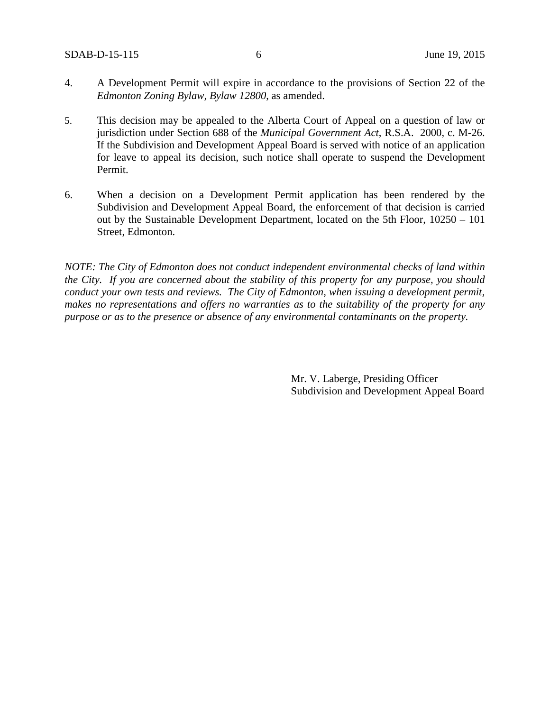- 4. A Development Permit will expire in accordance to the provisions of Section 22 of the *Edmonton Zoning Bylaw, Bylaw 12800*, as amended.
- 5. This decision may be appealed to the Alberta Court of Appeal on a question of law or jurisdiction under Section 688 of the *Municipal Government Act*, R.S.A. 2000, c. M-26. If the Subdivision and Development Appeal Board is served with notice of an application for leave to appeal its decision, such notice shall operate to suspend the Development Permit.
- 6. When a decision on a Development Permit application has been rendered by the Subdivision and Development Appeal Board, the enforcement of that decision is carried out by the Sustainable Development Department, located on the 5th Floor, 10250 – 101 Street, Edmonton.

*NOTE: The City of Edmonton does not conduct independent environmental checks of land within the City. If you are concerned about the stability of this property for any purpose, you should conduct your own tests and reviews. The City of Edmonton, when issuing a development permit, makes no representations and offers no warranties as to the suitability of the property for any purpose or as to the presence or absence of any environmental contaminants on the property.*

> Mr. V. Laberge, Presiding Officer Subdivision and Development Appeal Board